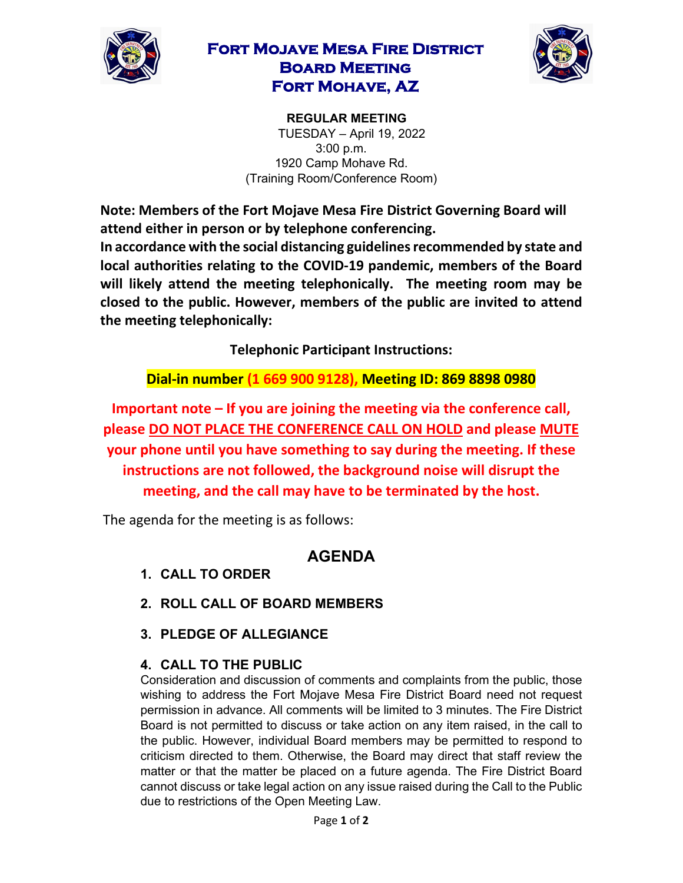

## **Fort Mojave Mesa Fire District Board Meeting Fort Mohave, AZ**



**REGULAR MEETING**  TUESDAY – April 19, 2022 3:00 p.m. 1920 Camp Mohave Rd. (Training Room/Conference Room)

**Note: Members of the Fort Mojave Mesa Fire District Governing Board will attend either in person or by telephone conferencing. In accordance with the social distancing guidelines recommended by state and local authorities relating to the COVID-19 pandemic, members of the Board will likely attend the meeting telephonically. The meeting room may be closed to the public. However, members of the public are invited to attend the meeting telephonically:** 

**Telephonic Participant Instructions:**

**Dial-in number (1 669 900 9128), Meeting ID: 869 8898 0980** 

**Important note – If you are joining the meeting via the conference call, please DO NOT PLACE THE CONFERENCE CALL ON HOLD and please MUTE your phone until you have something to say during the meeting. If these instructions are not followed, the background noise will disrupt the meeting, and the call may have to be terminated by the host.**

The agenda for the meeting is as follows:

## **AGENDA**

- **1. CALL TO ORDER**
- **2. ROLL CALL OF BOARD MEMBERS**
- **3. PLEDGE OF ALLEGIANCE**

## **4. CALL TO THE PUBLIC**

Consideration and discussion of comments and complaints from the public, those wishing to address the Fort Mojave Mesa Fire District Board need not request permission in advance. All comments will be limited to 3 minutes. The Fire District Board is not permitted to discuss or take action on any item raised, in the call to the public. However, individual Board members may be permitted to respond to criticism directed to them. Otherwise, the Board may direct that staff review the matter or that the matter be placed on a future agenda. The Fire District Board cannot discuss or take legal action on any issue raised during the Call to the Public due to restrictions of the Open Meeting Law.